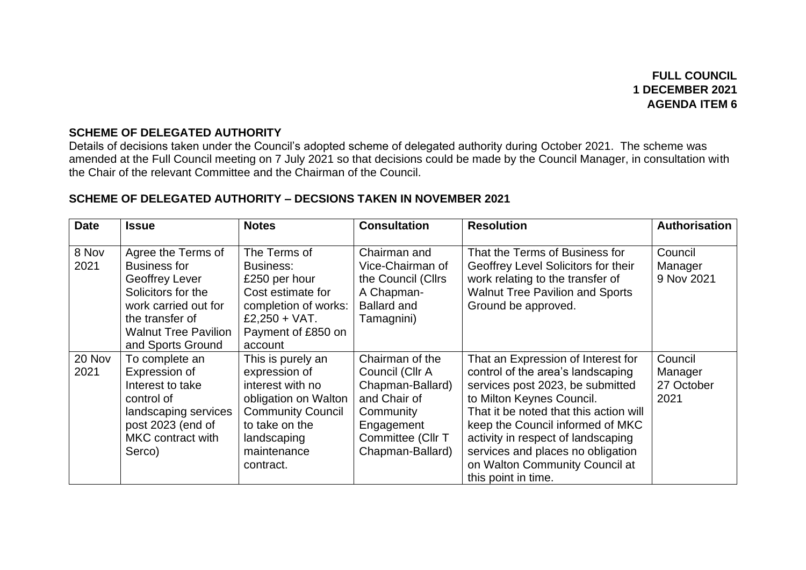**FULL COUNCIL 1 DECEMBER 2021 AGENDA ITEM 6**

## **SCHEME OF DELEGATED AUTHORITY**

Details of decisions taken under the Council's adopted scheme of delegated authority during October 2021. The scheme was amended at the Full Council meeting on 7 July 2021 so that decisions could be made by the Council Manager, in consultation with the Chair of the relevant Committee and the Chairman of the Council.

## **SCHEME OF DELEGATED AUTHORITY – DECSIONS TAKEN IN NOVEMBER 2021**

| <b>Date</b>    | <b>Issue</b>                                                                                                                                                                     | <b>Notes</b>                                                                                                                                                            | <b>Consultation</b>                                                                                                                        | <b>Resolution</b>                                                                                                                                                                                                                                                                                                                                          | <b>Authorisation</b>                     |
|----------------|----------------------------------------------------------------------------------------------------------------------------------------------------------------------------------|-------------------------------------------------------------------------------------------------------------------------------------------------------------------------|--------------------------------------------------------------------------------------------------------------------------------------------|------------------------------------------------------------------------------------------------------------------------------------------------------------------------------------------------------------------------------------------------------------------------------------------------------------------------------------------------------------|------------------------------------------|
| 8 Nov<br>2021  | Agree the Terms of<br><b>Business for</b><br>Geoffrey Lever<br>Solicitors for the<br>work carried out for<br>the transfer of<br><b>Walnut Tree Pavilion</b><br>and Sports Ground | The Terms of<br><b>Business:</b><br>£250 per hour<br>Cost estimate for<br>completion of works:<br>£2,250 + VAT.<br>Payment of £850 on<br>account                        | Chairman and<br>Vice-Chairman of<br>the Council (Cllrs<br>A Chapman-<br><b>Ballard and</b><br>Tamagnini)                                   | That the Terms of Business for<br>Geoffrey Level Solicitors for their<br>work relating to the transfer of<br><b>Walnut Tree Pavilion and Sports</b><br>Ground be approved.                                                                                                                                                                                 | Council<br>Manager<br>9 Nov 2021         |
| 20 Nov<br>2021 | To complete an<br>Expression of<br>Interest to take<br>control of<br>landscaping services<br>post 2023 (end of<br>MKC contract with<br>Serco)                                    | This is purely an<br>expression of<br>interest with no<br>obligation on Walton<br><b>Community Council</b><br>to take on the<br>landscaping<br>maintenance<br>contract. | Chairman of the<br>Council (Cllr A<br>Chapman-Ballard)<br>and Chair of<br>Community<br>Engagement<br>Committee (Cllr T<br>Chapman-Ballard) | That an Expression of Interest for<br>control of the area's landscaping<br>services post 2023, be submitted<br>to Milton Keynes Council.<br>That it be noted that this action will<br>keep the Council informed of MKC<br>activity in respect of landscaping<br>services and places no obligation<br>on Walton Community Council at<br>this point in time. | Council<br>Manager<br>27 October<br>2021 |